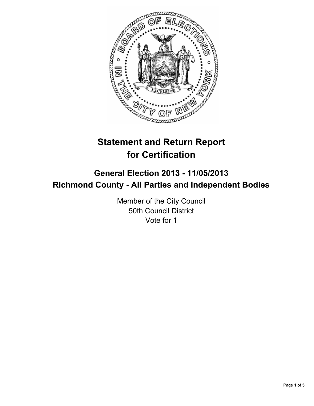

# **Statement and Return Report for Certification**

# **General Election 2013 - 11/05/2013 Richmond County - All Parties and Independent Bodies**

Member of the City Council 50th Council District Vote for 1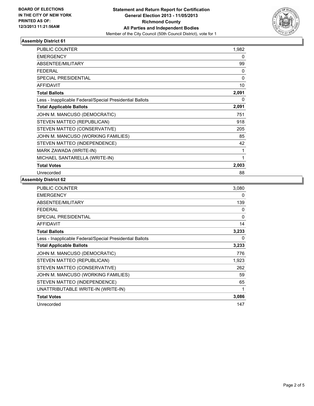

# **Assembly District 61**

| <b>PUBLIC COUNTER</b>                                    | 1,982    |
|----------------------------------------------------------|----------|
| <b>EMERGENCY</b>                                         | 0        |
| ABSENTEE/MILITARY                                        | 99       |
| <b>FEDERAL</b>                                           | 0        |
| SPECIAL PRESIDENTIAL                                     | 0        |
| <b>AFFIDAVIT</b>                                         | 10       |
| <b>Total Ballots</b>                                     | 2,091    |
| Less - Inapplicable Federal/Special Presidential Ballots | $\Omega$ |
| <b>Total Applicable Ballots</b>                          | 2,091    |
| JOHN M. MANCUSO (DEMOCRATIC)                             | 751      |
| STEVEN MATTEO (REPUBLICAN)                               | 918      |
| STEVEN MATTEO (CONSERVATIVE)                             | 205      |
| JOHN M. MANCUSO (WORKING FAMILIES)                       | 85       |
| STEVEN MATTEO (INDEPENDENCE)                             | 42       |
| MARK ZAWADA (WRITE-IN)                                   | 1        |
| MICHAEL SANTARELLA (WRITE-IN)                            | 1        |
| <b>Total Votes</b>                                       | 2,003    |
| Unrecorded                                               | 88       |

#### **Assembly District 62**

| PUBLIC COUNTER                                           | 3,080    |
|----------------------------------------------------------|----------|
| <b>EMERGENCY</b>                                         | 0        |
| ABSENTEE/MILITARY                                        | 139      |
| <b>FEDERAL</b>                                           | 0        |
| <b>SPECIAL PRESIDENTIAL</b>                              | $\Omega$ |
| <b>AFFIDAVIT</b>                                         | 14       |
| <b>Total Ballots</b>                                     | 3,233    |
| Less - Inapplicable Federal/Special Presidential Ballots | 0        |
| <b>Total Applicable Ballots</b>                          | 3,233    |
| JOHN M. MANCUSO (DEMOCRATIC)                             | 776      |
| STEVEN MATTEO (REPUBLICAN)                               | 1,923    |
| STEVEN MATTEO (CONSERVATIVE)                             | 262      |
| JOHN M. MANCUSO (WORKING FAMILIES)                       | 59       |
| STEVEN MATTEO (INDEPENDENCE)                             | 65       |
| UNATTRIBUTABLE WRITE-IN (WRITE-IN)                       | 1        |
| <b>Total Votes</b>                                       | 3,086    |
| Unrecorded                                               | 147      |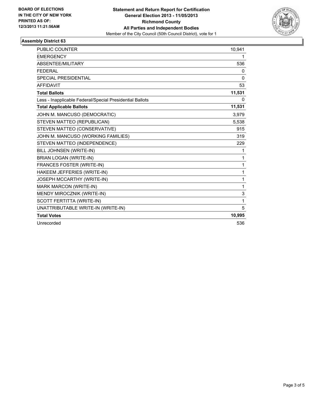

# **Assembly District 63**

| <b>PUBLIC COUNTER</b>                                    | 10,941 |
|----------------------------------------------------------|--------|
| <b>EMERGENCY</b>                                         | 1      |
| ABSENTEE/MILITARY                                        | 536    |
| <b>FEDERAL</b>                                           | 0      |
| <b>SPECIAL PRESIDENTIAL</b>                              | 0      |
| <b>AFFIDAVIT</b>                                         | 53     |
| <b>Total Ballots</b>                                     | 11,531 |
| Less - Inapplicable Federal/Special Presidential Ballots | 0      |
| <b>Total Applicable Ballots</b>                          | 11,531 |
| JOHN M. MANCUSO (DEMOCRATIC)                             | 3,979  |
| STEVEN MATTEO (REPUBLICAN)                               | 5,538  |
| STEVEN MATTEO (CONSERVATIVE)                             | 915    |
| JOHN M. MANCUSO (WORKING FAMILIES)                       | 319    |
| STEVEN MATTEO (INDEPENDENCE)                             | 229    |
| BILL JOHNSEN (WRITE-IN)                                  | 1      |
| BRIAN LOGAN (WRITE-IN)                                   | 1      |
| FRANCES FOSTER (WRITE-IN)                                | 1      |
| HAKEEM JEFFERIES (WRITE-IN)                              | 1      |
| JOSEPH MCCARTHY (WRITE-IN)                               | 1      |
| <b>MARK MARCON (WRITE-IN)</b>                            | 1      |
| MENDY MIROCZNIK (WRITE-IN)                               | 3      |
| SCOTT FERTITTA (WRITE-IN)                                | 1      |
| UNATTRIBUTABLE WRITE-IN (WRITE-IN)                       | 5      |
| <b>Total Votes</b>                                       | 10,995 |
| Unrecorded                                               | 536    |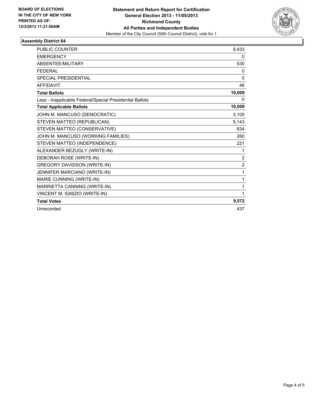

# **Assembly District 64**

| <b>PUBLIC COUNTER</b>                                    | 9,433          |
|----------------------------------------------------------|----------------|
| <b>EMERGENCY</b>                                         | 0              |
| <b>ABSENTEE/MILITARY</b>                                 | 530            |
| <b>FEDERAL</b>                                           | 0              |
| SPECIAL PRESIDENTIAL                                     | $\Omega$       |
| <b>AFFIDAVIT</b>                                         | 46             |
| <b>Total Ballots</b>                                     | 10,009         |
| Less - Inapplicable Federal/Special Presidential Ballots | 0              |
| <b>Total Applicable Ballots</b>                          | 10,009         |
| JOHN M. MANCUSO (DEMOCRATIC)                             | 3,105          |
| STEVEN MATTEO (REPUBLICAN)                               | 5,143          |
| STEVEN MATTEO (CONSERVATIVE)                             | 834            |
| JOHN M. MANCUSO (WORKING FAMILIES)                       | 260            |
| STEVEN MATTEO (INDEPENDENCE)                             | 221            |
| ALEXANDER BEZUGLY (WRITE-IN)                             | 1              |
| DEBORAH ROSE (WRITE-IN)                                  | $\overline{2}$ |
| <b>GREGORY DAVIDSON (WRITE-IN)</b>                       | $\overline{2}$ |
| JENNIFER MARCIANO (WRITE-IN)                             | 1              |
| MARIE CUNNING (WRITE-IN)                                 | 1              |
| MARRIETTA CANNING (WRITE-IN)                             | 1              |
| VINCENT M. IGNIZIO (WRITE-IN)                            | 1              |
| <b>Total Votes</b>                                       | 9,572          |
| Unrecorded                                               | 437            |